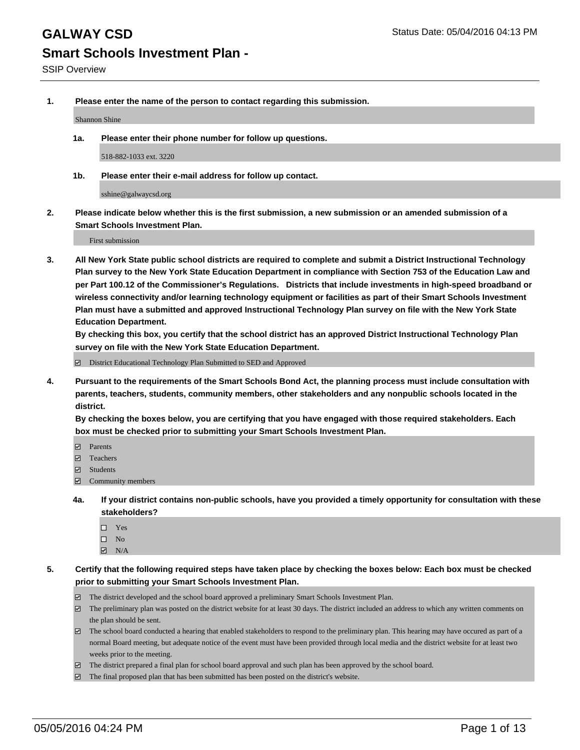**1. Please enter the name of the person to contact regarding this submission.**

Shannon Shine

**1a. Please enter their phone number for follow up questions.**

518-882-1033 ext. 3220

**1b. Please enter their e-mail address for follow up contact.**

sshine@galwaycsd.org

**2. Please indicate below whether this is the first submission, a new submission or an amended submission of a Smart Schools Investment Plan.**

First submission

**3. All New York State public school districts are required to complete and submit a District Instructional Technology Plan survey to the New York State Education Department in compliance with Section 753 of the Education Law and per Part 100.12 of the Commissioner's Regulations. Districts that include investments in high-speed broadband or wireless connectivity and/or learning technology equipment or facilities as part of their Smart Schools Investment Plan must have a submitted and approved Instructional Technology Plan survey on file with the New York State Education Department.** 

**By checking this box, you certify that the school district has an approved District Instructional Technology Plan survey on file with the New York State Education Department.**

■ District Educational Technology Plan Submitted to SED and Approved

**4. Pursuant to the requirements of the Smart Schools Bond Act, the planning process must include consultation with parents, teachers, students, community members, other stakeholders and any nonpublic schools located in the district.** 

**By checking the boxes below, you are certifying that you have engaged with those required stakeholders. Each box must be checked prior to submitting your Smart Schools Investment Plan.**

- **Parents**
- □ Teachers
- Students
- $\boxdot$  Community members
- **4a. If your district contains non-public schools, have you provided a timely opportunity for consultation with these stakeholders?**
	- □ Yes
	- $\square$  No
	- $\boxtimes$  N/A
- **5. Certify that the following required steps have taken place by checking the boxes below: Each box must be checked prior to submitting your Smart Schools Investment Plan.**
	- The district developed and the school board approved a preliminary Smart Schools Investment Plan.
	- The preliminary plan was posted on the district website for at least 30 days. The district included an address to which any written comments on the plan should be sent.
	- $\Box$  The school board conducted a hearing that enabled stakeholders to respond to the preliminary plan. This hearing may have occured as part of a normal Board meeting, but adequate notice of the event must have been provided through local media and the district website for at least two weeks prior to the meeting.
	- The district prepared a final plan for school board approval and such plan has been approved by the school board.
	- The final proposed plan that has been submitted has been posted on the district's website.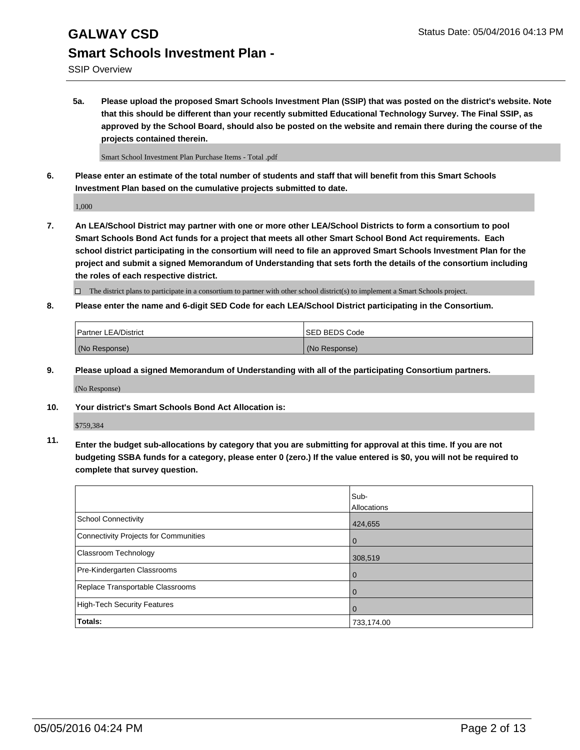# **GALWAY CSD** Status Date: 05/04/2016 04:13 PM **Smart Schools Investment Plan -**

SSIP Overview

**5a. Please upload the proposed Smart Schools Investment Plan (SSIP) that was posted on the district's website. Note that this should be different than your recently submitted Educational Technology Survey. The Final SSIP, as approved by the School Board, should also be posted on the website and remain there during the course of the projects contained therein.**

Smart School Investment Plan Purchase Items - Total .pdf

**6. Please enter an estimate of the total number of students and staff that will benefit from this Smart Schools Investment Plan based on the cumulative projects submitted to date.**

1,000

**7. An LEA/School District may partner with one or more other LEA/School Districts to form a consortium to pool Smart Schools Bond Act funds for a project that meets all other Smart School Bond Act requirements. Each school district participating in the consortium will need to file an approved Smart Schools Investment Plan for the project and submit a signed Memorandum of Understanding that sets forth the details of the consortium including the roles of each respective district.**

 $\Box$  The district plans to participate in a consortium to partner with other school district(s) to implement a Smart Schools project.

**8. Please enter the name and 6-digit SED Code for each LEA/School District participating in the Consortium.**

| <b>Partner LEA/District</b> | <b>ISED BEDS Code</b> |
|-----------------------------|-----------------------|
| (No Response)               | (No Response)         |

**9. Please upload a signed Memorandum of Understanding with all of the participating Consortium partners.**

(No Response)

**10. Your district's Smart Schools Bond Act Allocation is:**

\$759,384

**11. Enter the budget sub-allocations by category that you are submitting for approval at this time. If you are not budgeting SSBA funds for a category, please enter 0 (zero.) If the value entered is \$0, you will not be required to complete that survey question.**

|                                       | Sub-<br>Allocations |
|---------------------------------------|---------------------|
| <b>School Connectivity</b>            | 424,655             |
| Connectivity Projects for Communities | $\Omega$            |
| Classroom Technology                  | 308,519             |
| Pre-Kindergarten Classrooms           | $\Omega$            |
| Replace Transportable Classrooms      | 0                   |
| High-Tech Security Features           | $\Omega$            |
| <b>Totals:</b>                        | 733,174.00          |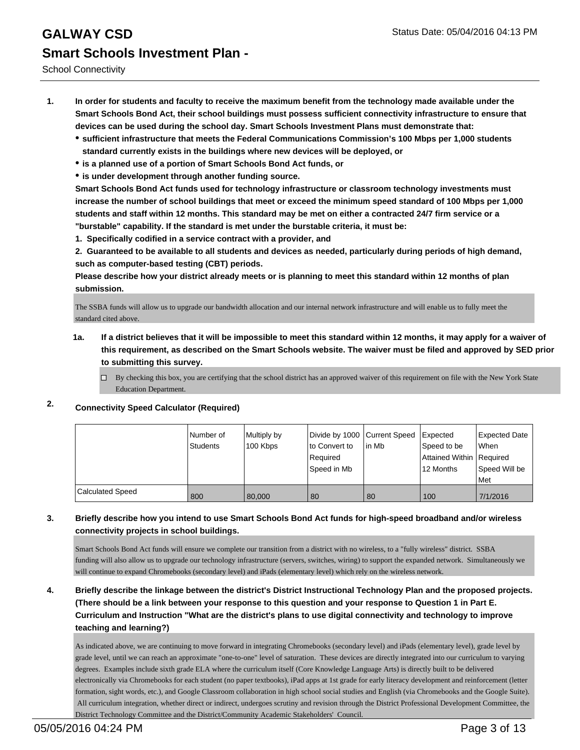- **1. In order for students and faculty to receive the maximum benefit from the technology made available under the Smart Schools Bond Act, their school buildings must possess sufficient connectivity infrastructure to ensure that devices can be used during the school day. Smart Schools Investment Plans must demonstrate that:**
	- **sufficient infrastructure that meets the Federal Communications Commission's 100 Mbps per 1,000 students standard currently exists in the buildings where new devices will be deployed, or**
	- **is a planned use of a portion of Smart Schools Bond Act funds, or**
	- **is under development through another funding source.**

**Smart Schools Bond Act funds used for technology infrastructure or classroom technology investments must increase the number of school buildings that meet or exceed the minimum speed standard of 100 Mbps per 1,000 students and staff within 12 months. This standard may be met on either a contracted 24/7 firm service or a "burstable" capability. If the standard is met under the burstable criteria, it must be:**

**1. Specifically codified in a service contract with a provider, and**

**2. Guaranteed to be available to all students and devices as needed, particularly during periods of high demand, such as computer-based testing (CBT) periods.**

**Please describe how your district already meets or is planning to meet this standard within 12 months of plan submission.**

The SSBA funds will allow us to upgrade our bandwidth allocation and our internal network infrastructure and will enable us to fully meet the standard cited above.

- **1a. If a district believes that it will be impossible to meet this standard within 12 months, it may apply for a waiver of this requirement, as described on the Smart Schools website. The waiver must be filed and approved by SED prior to submitting this survey.**
	- By checking this box, you are certifying that the school district has an approved waiver of this requirement on file with the New York State Education Department.
- **2. Connectivity Speed Calculator (Required)**

|                         | l Number of<br>Students | Multiply by<br>100 Kbps | Divide by 1000 Current Speed<br>lto Convert to<br>Required<br>Speed in Mb | lin Mb | Expected<br>Speed to be<br>Attained Within   Required<br>12 Months | Expected Date<br><b>When</b><br>Speed Will be<br>l Met |
|-------------------------|-------------------------|-------------------------|---------------------------------------------------------------------------|--------|--------------------------------------------------------------------|--------------------------------------------------------|
| <b>Calculated Speed</b> | 800                     | 80,000                  | 80                                                                        | 80     | 100                                                                | 7/1/2016                                               |

### **3. Briefly describe how you intend to use Smart Schools Bond Act funds for high-speed broadband and/or wireless connectivity projects in school buildings.**

Smart Schools Bond Act funds will ensure we complete our transition from a district with no wireless, to a "fully wireless" district. SSBA funding will also allow us to upgrade our technology infrastructure (servers, switches, wiring) to support the expanded network. Simultaneously we will continue to expand Chromebooks (secondary level) and iPads (elementary level) which rely on the wireless network.

## **4. Briefly describe the linkage between the district's District Instructional Technology Plan and the proposed projects. (There should be a link between your response to this question and your response to Question 1 in Part E. Curriculum and Instruction "What are the district's plans to use digital connectivity and technology to improve teaching and learning?)**

As indicated above, we are continuing to move forward in integrating Chromebooks (secondary level) and iPads (elementary level), grade level by grade level, until we can reach an approximate "one-to-one" level of saturation. These devices are directly integrated into our curriculum to varying degrees. Examples include sixth grade ELA where the curriculum itself (Core Knowledge Language Arts) is directly built to be delivered electronically via Chromebooks for each student (no paper textbooks), iPad apps at 1st grade for early literacy development and reinforcement (letter formation, sight words, etc.), and Google Classroom collaboration in high school social studies and English (via Chromebooks and the Google Suite). All curriculum integration, whether direct or indirect, undergoes scrutiny and revision through the District Professional Development Committee, the District Technology Committee and the District/Community Academic Stakeholders' Council.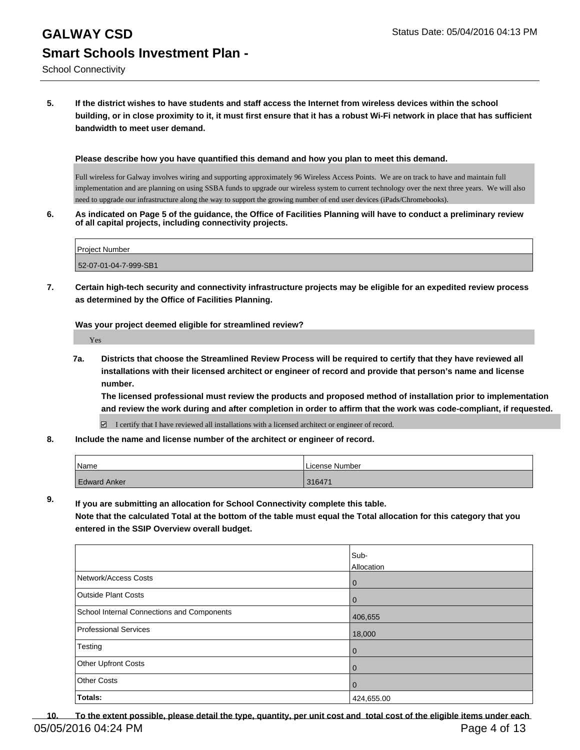# **GALWAY CSD** Status Date: 05/04/2016 04:13 PM **Smart Schools Investment Plan -**

### **5. If the district wishes to have students and staff access the Internet from wireless devices within the school building, or in close proximity to it, it must first ensure that it has a robust Wi-Fi network in place that has sufficient bandwidth to meet user demand.**

**Please describe how you have quantified this demand and how you plan to meet this demand.**

Full wireless for Galway involves wiring and supporting approximately 96 Wireless Access Points. We are on track to have and maintain full implementation and are planning on using SSBA funds to upgrade our wireless system to current technology over the next three years. We will also need to upgrade our infrastructure along the way to support the growing number of end user devices (iPads/Chromebooks).

**6. As indicated on Page 5 of the guidance, the Office of Facilities Planning will have to conduct a preliminary review of all capital projects, including connectivity projects.**

| <b>Project Number</b> |  |
|-----------------------|--|
| 52-07-01-04-7-999-SB1 |  |

**7. Certain high-tech security and connectivity infrastructure projects may be eligible for an expedited review process as determined by the Office of Facilities Planning.**

**Was your project deemed eligible for streamlined review?**

Yes

**7a. Districts that choose the Streamlined Review Process will be required to certify that they have reviewed all installations with their licensed architect or engineer of record and provide that person's name and license number.**

**The licensed professional must review the products and proposed method of installation prior to implementation and review the work during and after completion in order to affirm that the work was code-compliant, if requested.**

I certify that I have reviewed all installations with a licensed architect or engineer of record.

**8. Include the name and license number of the architect or engineer of record.**

| Name                | License Number |
|---------------------|----------------|
| <b>Edward Anker</b> | 316471         |

**9. If you are submitting an allocation for School Connectivity complete this table.**

**Note that the calculated Total at the bottom of the table must equal the Total allocation for this category that you entered in the SSIP Overview overall budget.** 

|                                            | Sub-              |
|--------------------------------------------|-------------------|
|                                            | <b>Allocation</b> |
| Network/Access Costs                       | $\overline{0}$    |
| <b>Outside Plant Costs</b>                 | $\overline{0}$    |
| School Internal Connections and Components | 406,655           |
| <b>Professional Services</b>               | 18,000            |
| Testing                                    | $\mathbf{0}$      |
| Other Upfront Costs                        | $\overline{0}$    |
| <b>Other Costs</b>                         | $\overline{0}$    |
| Totals:                                    | 424,655.00        |

**10. To the extent possible, please detail the type, quantity, per unit cost and total cost of the eligible items under each** 05/05/2016 04:24 PM Page 4 of 13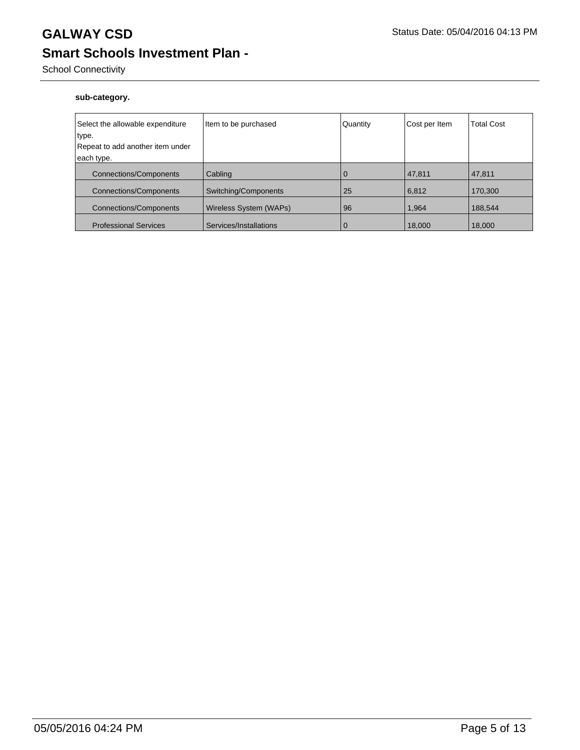## School Connectivity

### **sub-category.**

| Select the allowable expenditure          | Item to be purchased   | Quantity    | Cost per Item | <b>Total Cost</b> |
|-------------------------------------------|------------------------|-------------|---------------|-------------------|
| type.<br>Repeat to add another item under |                        |             |               |                   |
|                                           |                        |             |               |                   |
| each type.                                |                        |             |               |                   |
| <b>Connections/Components</b>             | Cabling                | 0           | 47,811        | 47,811            |
| <b>Connections/Components</b>             | Switching/Components   | 25          | 6,812         | 170,300           |
| <b>Connections/Components</b>             | Wireless System (WAPs) | 96          | 1.964         | 188,544           |
| <b>Professional Services</b>              | Services/Installations | $\mathbf 0$ | 18,000        | 18,000            |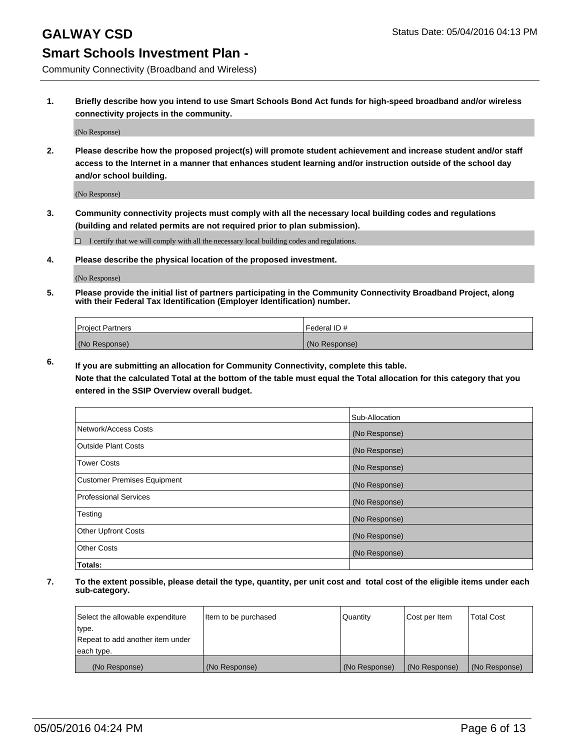Community Connectivity (Broadband and Wireless)

**1. Briefly describe how you intend to use Smart Schools Bond Act funds for high-speed broadband and/or wireless connectivity projects in the community.**

(No Response)

**2. Please describe how the proposed project(s) will promote student achievement and increase student and/or staff access to the Internet in a manner that enhances student learning and/or instruction outside of the school day and/or school building.**

(No Response)

**3. Community connectivity projects must comply with all the necessary local building codes and regulations (building and related permits are not required prior to plan submission).**

 $\Box$  I certify that we will comply with all the necessary local building codes and regulations.

**4. Please describe the physical location of the proposed investment.**

(No Response)

**5. Please provide the initial list of partners participating in the Community Connectivity Broadband Project, along with their Federal Tax Identification (Employer Identification) number.**

| <b>Project Partners</b> | <b>IFederal ID#</b> |
|-------------------------|---------------------|
| (No Response)           | (No Response)       |

**6. If you are submitting an allocation for Community Connectivity, complete this table.**

**Note that the calculated Total at the bottom of the table must equal the Total allocation for this category that you entered in the SSIP Overview overall budget.**

|                                    | Sub-Allocation |
|------------------------------------|----------------|
| Network/Access Costs               | (No Response)  |
| Outside Plant Costs                | (No Response)  |
| <b>Tower Costs</b>                 | (No Response)  |
| <b>Customer Premises Equipment</b> | (No Response)  |
| Professional Services              | (No Response)  |
| Testing                            | (No Response)  |
| <b>Other Upfront Costs</b>         | (No Response)  |
| Other Costs                        | (No Response)  |
| Totals:                            |                |

| Select the allowable expenditure | litem to be purchased | Quantity      | Cost per Item | <b>Total Cost</b> |
|----------------------------------|-----------------------|---------------|---------------|-------------------|
| type.                            |                       |               |               |                   |
| Repeat to add another item under |                       |               |               |                   |
| each type.                       |                       |               |               |                   |
| (No Response)                    | (No Response)         | (No Response) | (No Response) | (No Response)     |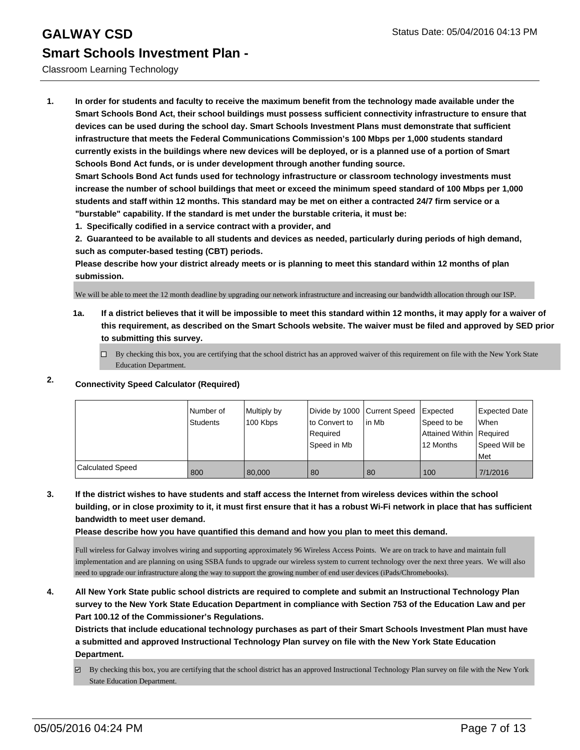### Classroom Learning Technology

**1. In order for students and faculty to receive the maximum benefit from the technology made available under the Smart Schools Bond Act, their school buildings must possess sufficient connectivity infrastructure to ensure that devices can be used during the school day. Smart Schools Investment Plans must demonstrate that sufficient infrastructure that meets the Federal Communications Commission's 100 Mbps per 1,000 students standard currently exists in the buildings where new devices will be deployed, or is a planned use of a portion of Smart Schools Bond Act funds, or is under development through another funding source.**

**Smart Schools Bond Act funds used for technology infrastructure or classroom technology investments must increase the number of school buildings that meet or exceed the minimum speed standard of 100 Mbps per 1,000 students and staff within 12 months. This standard may be met on either a contracted 24/7 firm service or a "burstable" capability. If the standard is met under the burstable criteria, it must be:**

**1. Specifically codified in a service contract with a provider, and**

**2. Guaranteed to be available to all students and devices as needed, particularly during periods of high demand, such as computer-based testing (CBT) periods.**

**Please describe how your district already meets or is planning to meet this standard within 12 months of plan submission.**

We will be able to meet the 12 month deadline by upgrading our network infrastructure and increasing our bandwidth allocation through our ISP.

**1a. If a district believes that it will be impossible to meet this standard within 12 months, it may apply for a waiver of this requirement, as described on the Smart Schools website. The waiver must be filed and approved by SED prior to submitting this survey.**

 $\Box$  By checking this box, you are certifying that the school district has an approved waiver of this requirement on file with the New York State Education Department.

## **2. Connectivity Speed Calculator (Required)**

|                         | Number of<br>Students | Multiply by<br>100 Kbps | Divide by 1000 Current Speed<br>lto Convert to<br>Reauired<br>Speed in Mb | lin Mb | <b>I</b> Expected<br>Speed to be<br>Attained Within   Required<br>12 Months | Expected Date<br>When<br>Speed Will be<br>l Met |
|-------------------------|-----------------------|-------------------------|---------------------------------------------------------------------------|--------|-----------------------------------------------------------------------------|-------------------------------------------------|
| <b>Calculated Speed</b> | 800                   | 80,000                  | 80                                                                        | 80     | 100                                                                         | 7/1/2016                                        |

**3. If the district wishes to have students and staff access the Internet from wireless devices within the school building, or in close proximity to it, it must first ensure that it has a robust Wi-Fi network in place that has sufficient bandwidth to meet user demand.**

**Please describe how you have quantified this demand and how you plan to meet this demand.**

Full wireless for Galway involves wiring and supporting approximately 96 Wireless Access Points. We are on track to have and maintain full implementation and are planning on using SSBA funds to upgrade our wireless system to current technology over the next three years. We will also need to upgrade our infrastructure along the way to support the growing number of end user devices (iPads/Chromebooks).

**4. All New York State public school districts are required to complete and submit an Instructional Technology Plan survey to the New York State Education Department in compliance with Section 753 of the Education Law and per Part 100.12 of the Commissioner's Regulations.**

**Districts that include educational technology purchases as part of their Smart Schools Investment Plan must have a submitted and approved Instructional Technology Plan survey on file with the New York State Education Department.**

 $\boxtimes$  By checking this box, you are certifying that the school district has an approved Instructional Technology Plan survey on file with the New York State Education Department.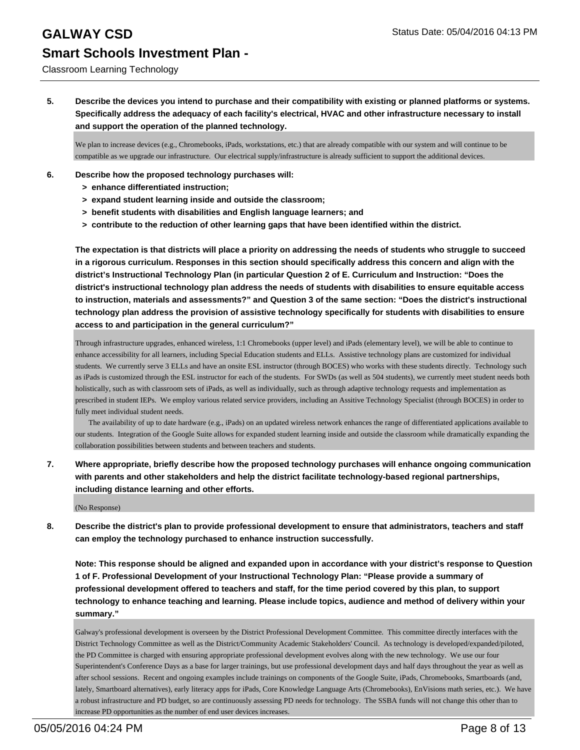### Classroom Learning Technology

**5. Describe the devices you intend to purchase and their compatibility with existing or planned platforms or systems. Specifically address the adequacy of each facility's electrical, HVAC and other infrastructure necessary to install and support the operation of the planned technology.**

We plan to increase devices (e.g., Chromebooks, iPads, workstations, etc.) that are already compatible with our system and will continue to be compatible as we upgrade our infrastructure. Our electrical supply/infrastructure is already sufficient to support the additional devices.

- **6. Describe how the proposed technology purchases will:**
	- **> enhance differentiated instruction;**
	- **> expand student learning inside and outside the classroom;**
	- **> benefit students with disabilities and English language learners; and**
	- **> contribute to the reduction of other learning gaps that have been identified within the district.**

**The expectation is that districts will place a priority on addressing the needs of students who struggle to succeed in a rigorous curriculum. Responses in this section should specifically address this concern and align with the district's Instructional Technology Plan (in particular Question 2 of E. Curriculum and Instruction: "Does the district's instructional technology plan address the needs of students with disabilities to ensure equitable access to instruction, materials and assessments?" and Question 3 of the same section: "Does the district's instructional technology plan address the provision of assistive technology specifically for students with disabilities to ensure access to and participation in the general curriculum?"**

Through infrastructure upgrades, enhanced wireless, 1:1 Chromebooks (upper level) and iPads (elementary level), we will be able to continue to enhance accessibility for all learners, including Special Education students and ELLs. Assistive technology plans are customized for individual students. We currently serve 3 ELLs and have an onsite ESL instructor (through BOCES) who works with these students directly. Technology such as iPads is customized through the ESL instructor for each of the students. For SWDs (as well as 504 students), we currently meet student needs both holistically, such as with classroom sets of iPads, as well as individually, such as through adaptive technology requests and implementation as prescribed in student IEPs. We employ various related service providers, including an Assitive Technology Specialist (through BOCES) in order to fully meet individual student needs.

 The availability of up to date hardware (e.g., iPads) on an updated wireless network enhances the range of differentiated applications available to our students. Integration of the Google Suite allows for expanded student learning inside and outside the classroom while dramatically expanding the collaboration possibilities between students and between teachers and students.

**7. Where appropriate, briefly describe how the proposed technology purchases will enhance ongoing communication with parents and other stakeholders and help the district facilitate technology-based regional partnerships, including distance learning and other efforts.**

(No Response)

**8. Describe the district's plan to provide professional development to ensure that administrators, teachers and staff can employ the technology purchased to enhance instruction successfully.**

**Note: This response should be aligned and expanded upon in accordance with your district's response to Question 1 of F. Professional Development of your Instructional Technology Plan: "Please provide a summary of professional development offered to teachers and staff, for the time period covered by this plan, to support technology to enhance teaching and learning. Please include topics, audience and method of delivery within your summary."**

Galway's professional development is overseen by the District Professional Development Committee. This committee directly interfaces with the District Technology Committee as well as the District/Community Academic Stakeholders' Council. As technology is developed/expanded/piloted, the PD Committee is charged with ensuring appropriate professional development evolves along with the new technology. We use our four Superintendent's Conference Days as a base for larger trainings, but use professional development days and half days throughout the year as well as after school sessions. Recent and ongoing examples include trainings on components of the Google Suite, iPads, Chromebooks, Smartboards (and, lately, Smartboard alternatives), early literacy apps for iPads, Core Knowledge Language Arts (Chromebooks), EnVisions math series, etc.). We have a robust infrastructure and PD budget, so are continuously assessing PD needs for technology. The SSBA funds will not change this other than to increase PD opportunities as the number of end user devices increases.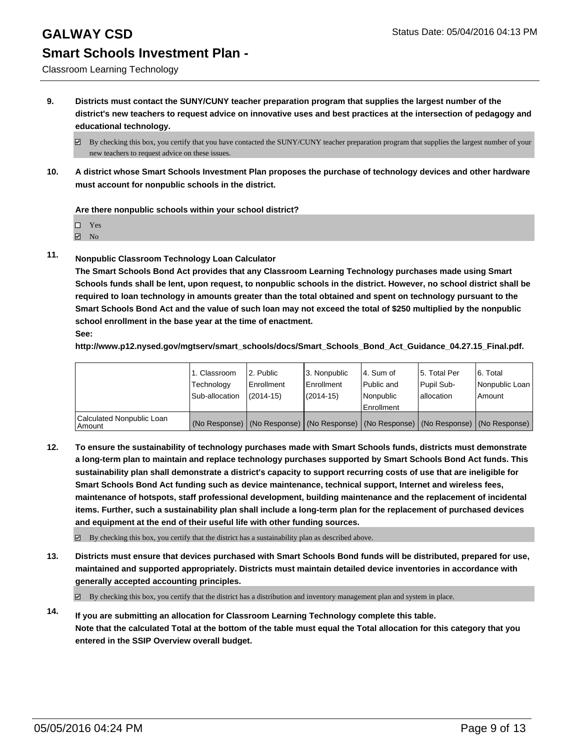## **GALWAY CSD** Status Date: 05/04/2016 04:13 PM

# **Smart Schools Investment Plan -**

Classroom Learning Technology

**9. Districts must contact the SUNY/CUNY teacher preparation program that supplies the largest number of the district's new teachers to request advice on innovative uses and best practices at the intersection of pedagogy and educational technology.**

**10. A district whose Smart Schools Investment Plan proposes the purchase of technology devices and other hardware must account for nonpublic schools in the district.**

**Are there nonpublic schools within your school district?**

Yes

**☑** No

**11. Nonpublic Classroom Technology Loan Calculator**

**The Smart Schools Bond Act provides that any Classroom Learning Technology purchases made using Smart Schools funds shall be lent, upon request, to nonpublic schools in the district. However, no school district shall be required to loan technology in amounts greater than the total obtained and spent on technology pursuant to the Smart Schools Bond Act and the value of such loan may not exceed the total of \$250 multiplied by the nonpublic school enrollment in the base year at the time of enactment. See:**

**http://www.p12.nysed.gov/mgtserv/smart\_schools/docs/Smart\_Schools\_Bond\_Act\_Guidance\_04.27.15\_Final.pdf.**

|                                       | 1. Classroom<br>Technology | 2. Public<br>Enrollment | 3. Nonpublic<br><b>Enrollment</b> | l 4. Sum of<br>l Public and | 15. Total Per<br>Pupil Sub-                                                                   | 6. Total<br>Nonpublic Loan |
|---------------------------------------|----------------------------|-------------------------|-----------------------------------|-----------------------------|-----------------------------------------------------------------------------------------------|----------------------------|
|                                       | Sub-allocation             | $(2014 - 15)$           | (2014-15)                         | Nonpublic<br>Enrollment     | lallocation                                                                                   | Amount                     |
| Calculated Nonpublic Loan<br>  Amount |                            |                         |                                   |                             | (No Response)   (No Response)   (No Response)   (No Response)   (No Response)   (No Response) |                            |

**12. To ensure the sustainability of technology purchases made with Smart Schools funds, districts must demonstrate a long-term plan to maintain and replace technology purchases supported by Smart Schools Bond Act funds. This sustainability plan shall demonstrate a district's capacity to support recurring costs of use that are ineligible for Smart Schools Bond Act funding such as device maintenance, technical support, Internet and wireless fees, maintenance of hotspots, staff professional development, building maintenance and the replacement of incidental items. Further, such a sustainability plan shall include a long-term plan for the replacement of purchased devices and equipment at the end of their useful life with other funding sources.**

 $\boxtimes$  By checking this box, you certify that the district has a sustainability plan as described above.

**13. Districts must ensure that devices purchased with Smart Schools Bond funds will be distributed, prepared for use, maintained and supported appropriately. Districts must maintain detailed device inventories in accordance with generally accepted accounting principles.**

 $\boxtimes$  By checking this box, you certify that the district has a distribution and inventory management plan and system in place.

**14. If you are submitting an allocation for Classroom Learning Technology complete this table. Note that the calculated Total at the bottom of the table must equal the Total allocation for this category that you entered in the SSIP Overview overall budget.**

 $\boxtimes$  By checking this box, you certify that you have contacted the SUNY/CUNY teacher preparation program that supplies the largest number of your new teachers to request advice on these issues.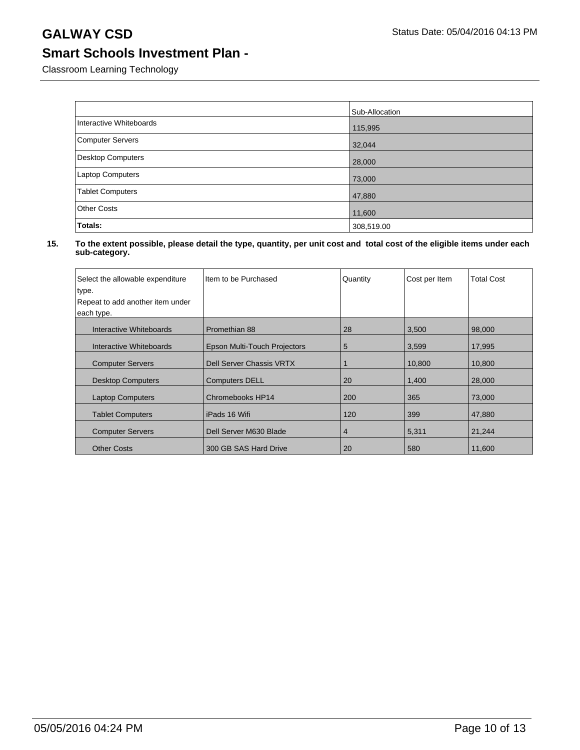Classroom Learning Technology

|                          | Sub-Allocation |
|--------------------------|----------------|
| Interactive Whiteboards  | 115,995        |
| Computer Servers         | 32,044         |
| <b>Desktop Computers</b> | 28,000         |
| Laptop Computers         | 73,000         |
| <b>Tablet Computers</b>  | 47,880         |
| <b>Other Costs</b>       | 11,600         |
| Totals:                  | 308,519.00     |

| Select the allowable expenditure<br>type. | Item to be Purchased            | Quantity | Cost per Item | <b>Total Cost</b> |
|-------------------------------------------|---------------------------------|----------|---------------|-------------------|
| Repeat to add another item under          |                                 |          |               |                   |
| each type.                                |                                 |          |               |                   |
| Interactive Whiteboards                   | Promethian 88                   | 28       | 3,500         | 98,000            |
| Interactive Whiteboards                   | Epson Multi-Touch Projectors    | 5        | 3,599         | 17,995            |
| <b>Computer Servers</b>                   | <b>Dell Server Chassis VRTX</b> |          | 10,800        | 10,800            |
| <b>Desktop Computers</b>                  | <b>Computers DELL</b>           | 20       | 1,400         | 28,000            |
| <b>Laptop Computers</b>                   | Chromebooks HP14                | 200      | 365           | 73,000            |
| <b>Tablet Computers</b>                   | iPads 16 Wifi                   | 120      | 399           | 47,880            |
| <b>Computer Servers</b>                   | Dell Server M630 Blade          | 4        | 5,311         | 21,244            |
| <b>Other Costs</b>                        | 300 GB SAS Hard Drive           | 20       | 580           | 11.600            |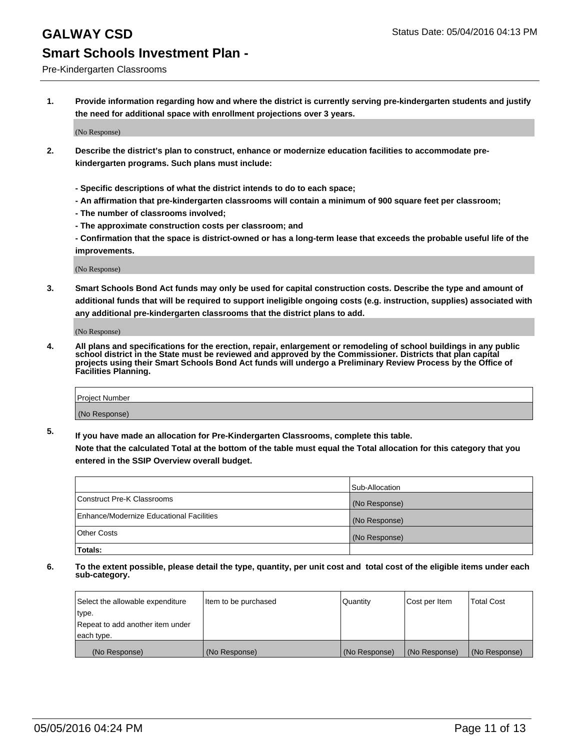Pre-Kindergarten Classrooms

**1. Provide information regarding how and where the district is currently serving pre-kindergarten students and justify the need for additional space with enrollment projections over 3 years.**

(No Response)

- **2. Describe the district's plan to construct, enhance or modernize education facilities to accommodate prekindergarten programs. Such plans must include:**
	- **Specific descriptions of what the district intends to do to each space;**
	- **An affirmation that pre-kindergarten classrooms will contain a minimum of 900 square feet per classroom;**
	- **The number of classrooms involved;**
	- **The approximate construction costs per classroom; and**
	- **Confirmation that the space is district-owned or has a long-term lease that exceeds the probable useful life of the improvements.**

(No Response)

**3. Smart Schools Bond Act funds may only be used for capital construction costs. Describe the type and amount of additional funds that will be required to support ineligible ongoing costs (e.g. instruction, supplies) associated with any additional pre-kindergarten classrooms that the district plans to add.**

(No Response)

**4. All plans and specifications for the erection, repair, enlargement or remodeling of school buildings in any public school district in the State must be reviewed and approved by the Commissioner. Districts that plan capital projects using their Smart Schools Bond Act funds will undergo a Preliminary Review Process by the Office of Facilities Planning.**

| Project Number |  |
|----------------|--|
| (No Response)  |  |

**5. If you have made an allocation for Pre-Kindergarten Classrooms, complete this table. Note that the calculated Total at the bottom of the table must equal the Total allocation for this category that you**

**entered in the SSIP Overview overall budget.**

|                                          | Sub-Allocation |
|------------------------------------------|----------------|
| Construct Pre-K Classrooms               | (No Response)  |
| Enhance/Modernize Educational Facilities | (No Response)  |
| Other Costs                              | (No Response)  |
| Totals:                                  |                |

| Select the allowable expenditure | Item to be purchased | Quantity      | Cost per Item | <b>Total Cost</b> |
|----------------------------------|----------------------|---------------|---------------|-------------------|
| type.                            |                      |               |               |                   |
| Repeat to add another item under |                      |               |               |                   |
| each type.                       |                      |               |               |                   |
| (No Response)                    | (No Response)        | (No Response) | (No Response) | (No Response)     |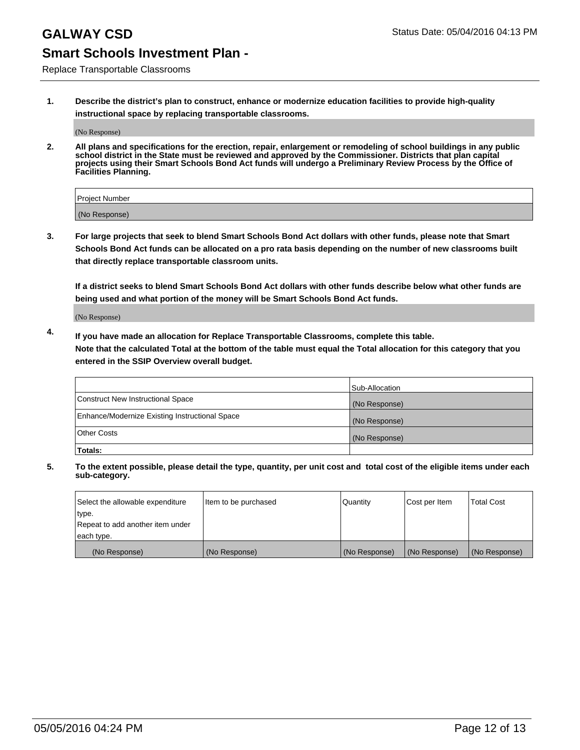Replace Transportable Classrooms

**1. Describe the district's plan to construct, enhance or modernize education facilities to provide high-quality instructional space by replacing transportable classrooms.**

(No Response)

**2. All plans and specifications for the erection, repair, enlargement or remodeling of school buildings in any public school district in the State must be reviewed and approved by the Commissioner. Districts that plan capital projects using their Smart Schools Bond Act funds will undergo a Preliminary Review Process by the Office of Facilities Planning.**

| Project Number |  |
|----------------|--|
|                |  |
| (No Response)  |  |

**3. For large projects that seek to blend Smart Schools Bond Act dollars with other funds, please note that Smart Schools Bond Act funds can be allocated on a pro rata basis depending on the number of new classrooms built that directly replace transportable classroom units.**

**If a district seeks to blend Smart Schools Bond Act dollars with other funds describe below what other funds are being used and what portion of the money will be Smart Schools Bond Act funds.**

(No Response)

**4. If you have made an allocation for Replace Transportable Classrooms, complete this table. Note that the calculated Total at the bottom of the table must equal the Total allocation for this category that you entered in the SSIP Overview overall budget.**

|                                                | Sub-Allocation |
|------------------------------------------------|----------------|
| Construct New Instructional Space              | (No Response)  |
| Enhance/Modernize Existing Instructional Space | (No Response)  |
| <b>Other Costs</b>                             | (No Response)  |
| Totals:                                        |                |

| Select the allowable expenditure | Item to be purchased | <b>Quantity</b> | Cost per Item | <b>Total Cost</b> |
|----------------------------------|----------------------|-----------------|---------------|-------------------|
| type.                            |                      |                 |               |                   |
| Repeat to add another item under |                      |                 |               |                   |
| each type.                       |                      |                 |               |                   |
| (No Response)                    | (No Response)        | (No Response)   | (No Response) | (No Response)     |